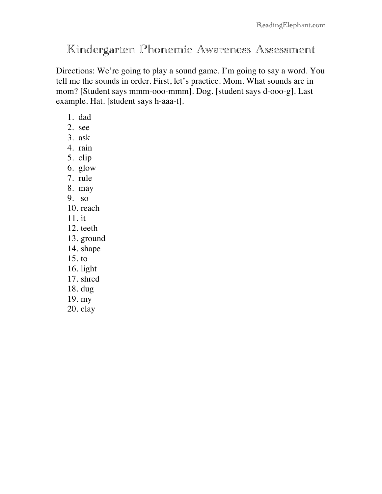# Kindergarten Phonemic Awareness Assessment

Directions: We're going to play a sound game. I'm going to say a word. You tell me the sounds in order. First, let's practice. Mom. What sounds are in mom? [Student says mmm-ooo-mmm]. Dog. [student says d-ooo-g]. Last example. Hat. [student says h-aaa-t].

- 1. dad
- 2. see
- 3. ask
- 4. rain
- 5. clip
- 6. glow
- 7. rule
- 8. may
- 9. so
- 10. reach
- 11. it
- 12. teeth
- 13. ground
- 14. shape
- 15. to
- 16. light
- 17. shred
- 18. dug
- 19. my
- 20. clay